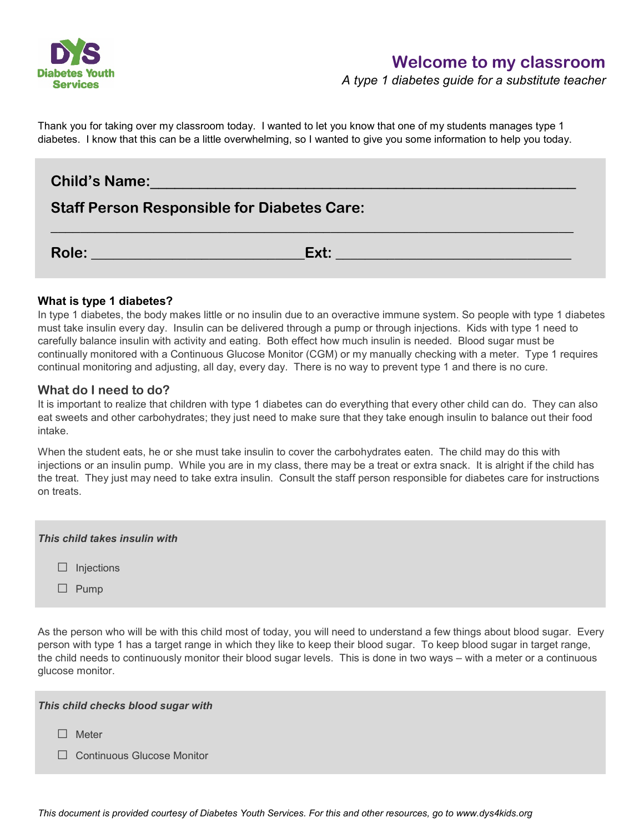

*A type 1 diabetes guide for a substitute teacher*

Thank you for taking over my classroom today. I wanted to let you know that one of my students manages type 1 diabetes. I know that this can be a little overwhelming, so I wanted to give you some information to help you today.

# **Child's Name:**\_\_\_\_\_\_\_\_\_\_\_\_\_\_\_\_\_\_\_\_\_\_\_\_\_\_\_\_\_\_\_\_\_\_\_\_\_\_\_\_\_\_\_\_\_\_\_\_\_\_\_\_

## **Staff Person Responsible for Diabetes Care:**

**Role: \_\_\_\_\_\_\_\_\_\_\_\_\_\_\_\_\_\_\_\_\_\_\_\_\_\_\_\_\_Ext: \_\_\_\_\_\_\_\_\_\_\_\_\_\_\_\_\_\_\_\_\_\_\_\_\_\_\_\_\_\_\_\_**

**\_\_\_\_\_\_\_\_\_\_\_\_\_\_\_\_\_\_\_\_\_\_\_\_\_\_\_\_\_\_\_\_\_\_\_\_\_\_\_\_\_\_\_\_\_\_\_\_\_\_\_\_\_\_\_\_\_\_\_\_\_\_\_\_\_\_\_\_\_\_\_**

## **What is type 1 diabetes?**

In type 1 diabetes, the body makes little or no insulin due to an overactive immune system. So people with type 1 diabetes must take insulin every day. Insulin can be delivered through a pump or through injections. Kids with type 1 need to carefully balance insulin with activity and eating. Both effect how much insulin is needed. Blood sugar must be continually monitored with a Continuous Glucose Monitor (CGM) or my manually checking with a meter. Type 1 requires continual monitoring and adjusting, all day, every day. There is no way to prevent type 1 and there is no cure.

## **What do I need to do?**

It is important to realize that children with type 1 diabetes can do everything that every other child can do. They can also eat sweets and other carbohydrates; they just need to make sure that they take enough insulin to balance out their food intake.

When the student eats, he or she must take insulin to cover the carbohydrates eaten. The child may do this with injections or an insulin pump. While you are in my class, there may be a treat or extra snack. It is alright if the child has the treat. They just may need to take extra insulin. Consult the staff person responsible for diabetes care for instructions on treats.

| This child takes insulin with |                   |
|-------------------------------|-------------------|
|                               | $\Box$ Injections |
|                               | $\Box$ Pump       |

As the person who will be with this child most of today, you will need to understand a few things about blood sugar. Every person with type 1 has a target range in which they like to keep their blood sugar. To keep blood sugar in target range, the child needs to continuously monitor their blood sugar levels. This is done in two ways – with a meter or a continuous glucose monitor.

□ Meter

□ Continuous Glucose Monitor

*This document is provided courtesy of Diabetes Youth Services. For this and other resources, go to www.dys4kids.org*